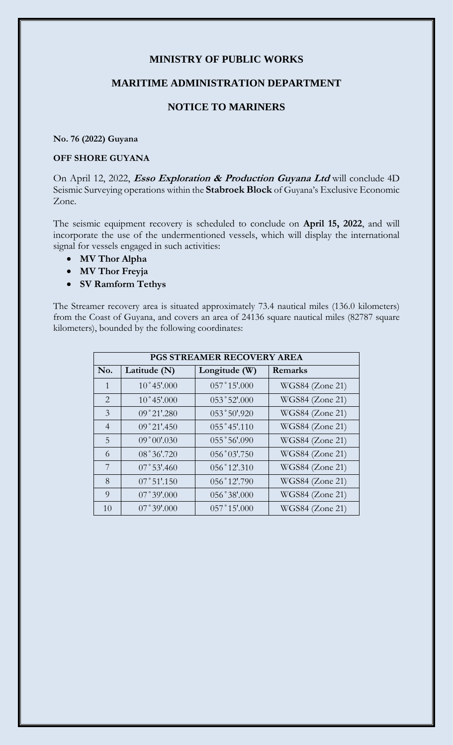## **MINISTRY OF PUBLIC WORKS**

### **MARITIME ADMINISTRATION DEPARTMENT**

# **NOTICE TO MARINERS**

#### **No. 76 (2022) Guyana**

## **OFF SHORE GUYANA**

On April 12, 2022, **Esso Exploration & Production Guyana Ltd** will conclude 4D Seismic Surveying operations within the **Stabroek Block** of Guyana's Exclusive Economic Zone.

The seismic equipment recovery is scheduled to conclude on **April 15, 2022**, and will incorporate the use of the undermentioned vessels, which will display the international signal for vessels engaged in such activities:

- **MV Thor Alpha**
- **MV Thor Freyja**
- **SV Ramform Tethys**

The Streamer recovery area is situated approximately 73.4 nautical miles (136.0 kilometers) from the Coast of Guyana, and covers an area of 24136 square nautical miles (82787 square kilometers), bounded by the following coordinates:

| <b>PGS STREAMER RECOVERY AREA</b> |                        |                |                 |
|-----------------------------------|------------------------|----------------|-----------------|
| No.                               | Latitude (N)           | Longitude (W)  | Remarks         |
| $\mathbf{1}$                      | $10^{\circ}45'$ :000   | 057°15'.000    | WGS84 (Zone 21) |
| 2                                 | $10^{\circ}45'$ :000   | $053°52'$ ,000 | WGS84 (Zone 21) |
| 3                                 | 09°21'.280             | 053°50'.920    | WGS84 (Zone 21) |
| $\overline{4}$                    | $09°21'$ :450          | 055°45'.110    | WGS84 (Zone 21) |
| 5                                 | 09°00'030              | 055°56'090     | WGS84 (Zone 21) |
| 6                                 | 08°36'.720             | $056°03'$ .750 | WGS84 (Zone 21) |
| 7                                 | $07^{\circ}53'$ :460   | $056°12'$ :310 | WGS84 (Zone 21) |
| 8                                 | $07^{\circ}51'$ :150   | 056°12'.790    | WGS84 (Zone 21) |
| 9                                 | $07^{\degree}39'$ .000 | 056°38'000     | WGS84 (Zone 21) |
| 10                                | $07^{\degree}39'$ .000 | $057°15'$ .000 | WGS84 (Zone 21) |